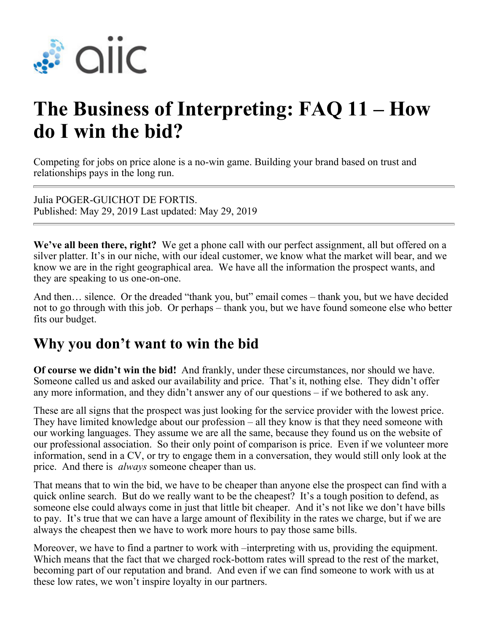

# **The Business of Interpreting: FAQ 11 – How do I win the bid?**

Competing for jobs on price alone is a no-win game. Building your brand based on trust and relationships pays in the long run.

Julia POGER-GUICHOT DE FORTIS. Published: May 29, 2019 Last updated: May 29, 2019

**We've all been there, right?** We get a phone call with our perfect assignment, all but offered on a silver platter. It's in our niche, with our ideal customer, we know what the market will bear, and we know we are in the right geographical area. We have all the information the prospect wants, and they are speaking to us one-on-one.

And then… silence. Or the dreaded "thank you, but" email comes – thank you, but we have decided not to go through with this job. Or perhaps – thank you, but we have found someone else who better fits our budget.

### **Why you don't want to win the bid**

**Of course we didn't win the bid!** And frankly, under these circumstances, nor should we have. Someone called us and asked our availability and price. That's it, nothing else. They didn't offer any more information, and they didn't answer any of our questions – if we bothered to ask any.

These are all signs that the prospect was just looking for the service provider with the lowest price. They have limited knowledge about our profession – all they know is that they need someone with our working languages. They assume we are all the same, because they found us on the website of our professional association. So their only point of comparison is price. Even if we volunteer more information, send in a CV, or try to engage them in a conversation, they would still only look at the price. And there is *always* someone cheaper than us.

That means that to win the bid, we have to be cheaper than anyone else the prospect can find with a quick online search. But do we really want to be the cheapest? It's a tough position to defend, as someone else could always come in just that little bit cheaper. And it's not like we don't have bills to pay. It's true that we can have a large amount of flexibility in the rates we charge, but if we are always the cheapest then we have to work more hours to pay those same bills.

Moreover, we have to find a partner to work with –interpreting with us, providing the equipment. Which means that the fact that we charged rock-bottom rates will spread to the rest of the market, becoming part of our reputation and brand. And even if we can find someone to work with us at these low rates, we won't inspire loyalty in our partners.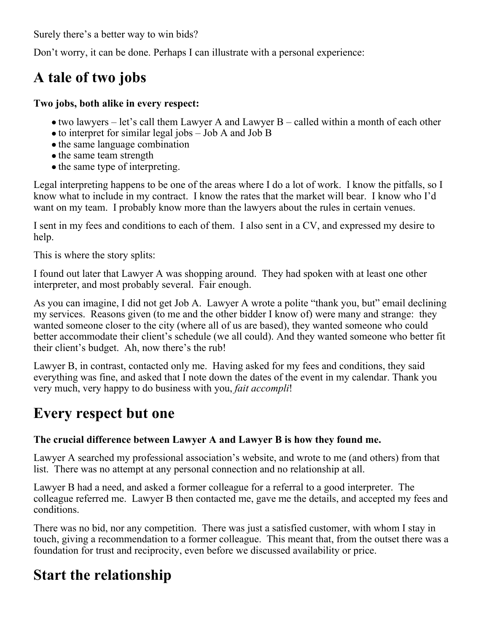Surely there's a better way to win bids?

Don't worry, it can be done. Perhaps I can illustrate with a personal experience:

# **A tale of two jobs**

#### **Two jobs, both alike in every respect:**

- two lawyers let's call them Lawyer A and Lawyer B called within a month of each other
- to interpret for similar legal jobs Job A and Job B
- the same language combination
- the same team strength
- the same type of interpreting.

Legal interpreting happens to be one of the areas where I do a lot of work. I know the pitfalls, so I know what to include in my contract. I know the rates that the market will bear. I know who I'd want on my team. I probably know more than the lawyers about the rules in certain venues.

I sent in my fees and conditions to each of them. I also sent in a CV, and expressed my desire to help.

This is where the story splits:

I found out later that Lawyer A was shopping around. They had spoken with at least one other interpreter, and most probably several. Fair enough.

As you can imagine, I did not get Job A. Lawyer A wrote a polite "thank you, but" email declining my services. Reasons given (to me and the other bidder I know of) were many and strange: they wanted someone closer to the city (where all of us are based), they wanted someone who could better accommodate their client's schedule (we all could). And they wanted someone who better fit their client's budget. Ah, now there's the rub!

Lawyer B, in contrast, contacted only me. Having asked for my fees and conditions, they said everything was fine, and asked that I note down the dates of the event in my calendar. Thank you very much, very happy to do business with you, *fait accompli*!

### **Every respect but one**

### **The crucial difference between Lawyer A and Lawyer B is how they found me.**

Lawyer A searched my professional association's website, and wrote to me (and others) from that list. There was no attempt at any personal connection and no relationship at all.

Lawyer B had a need, and asked a former colleague for a referral to a good interpreter. The colleague referred me. Lawyer B then contacted me, gave me the details, and accepted my fees and conditions.

There was no bid, nor any competition. There was just a satisfied customer, with whom I stay in touch, giving a recommendation to a former colleague. This meant that, from the outset there was a foundation for trust and reciprocity, even before we discussed availability or price.

## **Start the relationship**